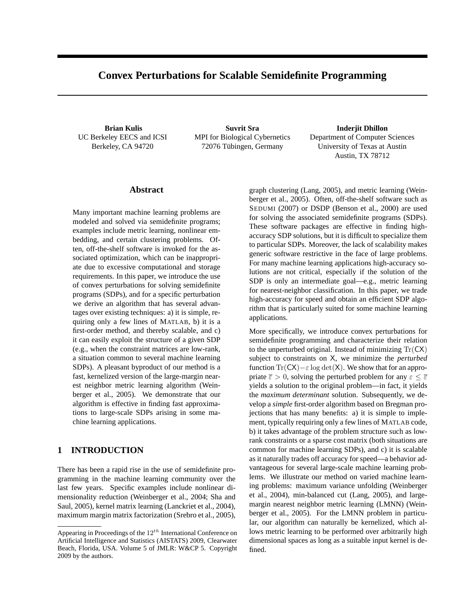# **Convex Perturbations for Scalable Semidefinite Programming**

**Brian Kulis** UC Berkeley EECS and ICSI Berkeley, CA 94720

**Suvrit Sra** MPI for Biological Cybernetics 72076 Tübingen, Germany

**Inderjit Dhillon** Department of Computer Sciences University of Texas at Austin Austin, TX 78712

#### **Abstract**

Many important machine learning problems are modeled and solved via semidefinite programs; examples include metric learning, nonlinear embedding, and certain clustering problems. Often, off-the-shelf software is invoked for the associated optimization, which can be inappropriate due to excessive computational and storage requirements. In this paper, we introduce the use of convex perturbations for solving semidefinite programs (SDPs), and for a specific perturbation we derive an algorithm that has several advantages over existing techniques: a) it is simple, requiring only a few lines of MATLAB, b) it is a first-order method, and thereby scalable, and c) it can easily exploit the structure of a given SDP (e.g., when the constraint matrices are low-rank, a situation common to several machine learning SDPs). A pleasant byproduct of our method is a fast, kernelized version of the large-margin nearest neighbor metric learning algorithm (Weinberger et al., 2005). We demonstrate that our algorithm is effective in finding fast approximations to large-scale SDPs arising in some machine learning applications.

### **1 INTRODUCTION**

There has been a rapid rise in the use of semidefinite programming in the machine learning community over the last few years. Specific examples include nonlinear dimensionality reduction (Weinberger et al., 2004; Sha and Saul, 2005), kernel matrix learning (Lanckriet et al., 2004), maximum margin matrix factorization (Srebro et al., 2005),

graph clustering (Lang, 2005), and metric learning (Weinberger et al., 2005). Often, off-the-shelf software such as SEDUMI (2007) or DSDP (Benson et al., 2000) are used for solving the associated semidefinite programs (SDPs). These software packages are effective in finding highaccuracy SDP solutions, but it is difficult to specialize them to particular SDPs. Moreover, the lack of scalability makes generic software restrictive in the face of large problems. For many machine learning applications high-accuracy solutions are not critical, especially if the solution of the SDP is only an intermediate goal—e.g., metric learning for nearest-neighbor classification. In this paper, we trade high-accuracy for speed and obtain an efficient SDP algorithm that is particularly suited for some machine learning applications.

More specifically, we introduce convex perturbations for semidefinite programming and characterize their relation to the unperturbed original. Instead of minimizing  $Tr(CX)$ subject to constraints on X, we minimize the *perturbed* function  $Tr(CX) - \varepsilon \log \det(X)$ . We show that for an appropriate  $\bar{\varepsilon} > 0$ , solving the perturbed problem for any  $\varepsilon \leq \bar{\varepsilon}$ yields a solution to the original problem—in fact, it yields the *maximum determinant* solution. Subsequently, we develop a *simple* first-order algorithm based on Bregman projections that has many benefits: a) it is simple to implement, typically requiring only a few lines of MATLAB code, b) it takes advantage of the problem structure such as lowrank constraints or a sparse cost matrix (both situations are common for machine learning SDPs), and c) it is scalable as it naturally trades off accuracy for speed—a behavior advantageous for several large-scale machine learning problems. We illustrate our method on varied machine learning problems: maximum variance unfolding (Weinberger et al., 2004), min-balanced cut (Lang, 2005), and largemargin nearest neighbor metric learning (LMNN) (Weinberger et al., 2005). For the LMNN problem in particular, our algorithm can naturally be kernelized, which allows metric learning to be performed over arbitrarily high dimensional spaces as long as a suitable input kernel is defined.

Appearing in Proceedings of the  $12^{th}$  International Conference on Artificial Intelligence and Statistics (AISTATS) 2009, Clearwater Beach, Florida, USA. Volume 5 of JMLR: W&CP 5. Copyright 2009 by the authors.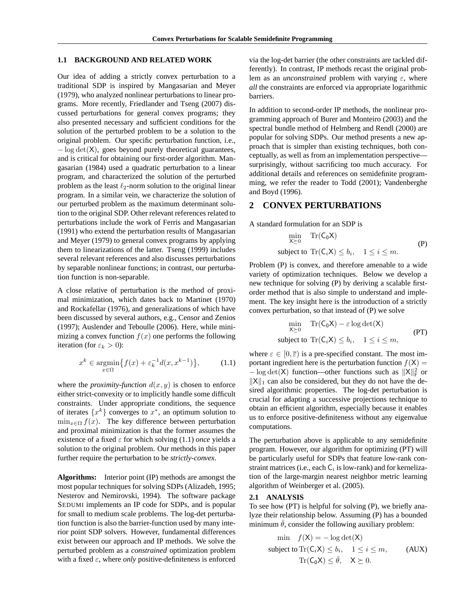#### **1.1 BACKGROUND AND RELATED WORK**

Our idea of adding a strictly convex perturbation to a traditional SDP is inspired by Mangasarian and Meyer (1979), who analyzed nonlinear perturbations to linear programs. More recently, Friedlander and Tseng (2007) discussed perturbations for general convex programs; they also presented necessary and sufficient conditions for the solution of the perturbed problem to be a solution to the original problem. Our specific perturbation function, i.e., − log det(X), goes beyond purely theoretical guarantees, and is critical for obtaining our first-order algorithm. Mangasarian (1984) used a quadratic perturbation to a linear program, and characterized the solution of the perturbed problem as the least  $\ell_2$ -norm solution to the original linear program. In a similar vein, we characterize the solution of our perturbed problem as the maximum determinant solution to the original SDP. Other relevant references related to perturbations include the work of Ferris and Mangasarian (1991) who extend the perturbation results of Mangasarian and Meyer (1979) to general convex programs by applying them to linearizations of the latter. Tseng (1999) includes several relevant references and also discusses perturbations by separable nonlinear functions; in contrast, our perturbation function is non-separable.

A close relative of perturbation is the method of proximal minimization, which dates back to Martinet (1970) and Rockafellar (1976), and generalizations of which have been discussed by several authors, e.g., Censor and Zenios (1997); Auslender and Teboulle (2006). Here, while minimizing a convex function  $f(x)$  one performs the following iteration (for  $\varepsilon_k > 0$ ):

$$
x^{k} \in \underset{x \in \Omega}{\operatorname{argmin}} \{ f(x) + \varepsilon_{k}^{-1} d(x, x^{k-1}) \}, \qquad (1.1)
$$

where the *proximity-function*  $d(x, y)$  is chosen to enforce either strict-convexity or to implicitly handle some difficult constraints. Under appropriate conditions, the sequence of iterates  $\{x^k\}$  converges to  $x^*$ , an optimum solution to  $\min_{x \in \Omega} f(x)$ . The key difference between perturbation and proximal minimization is that the former assumes the existence of a fixed  $\varepsilon$  for which solving (1.1) *once* yields a solution to the original problem. Our methods in this paper further require the perturbation to be *strictly-convex*.

**Algorithms:** Interior point (IP) methods are amongst the most popular techniques for solving SDPs (Alizadeh, 1995; Nesterov and Nemirovski, 1994). The software package SEDUMI implements an IP code for SDPs, and is popular for small to medium scale problems. The log-det perturbation function is also the barrier-function used by many interior point SDP solvers. However, fundamental differences exist between our approach and IP methods. We solve the perturbed problem as a *constrained* optimization problem with a fixed  $\varepsilon$ , where *only* positive-definiteness is enforced via the log-det barrier (the other constraints are tackled differently). In contrast, IP methods recast the original problem as an *unconstrained* problem with varying  $\varepsilon$ , where *all* the constraints are enforced via appropriate logarithmic barriers.

In addition to second-order IP methods, the nonlinear programming approach of Burer and Monteiro (2003) and the spectral bundle method of Helmberg and Rendl (2000) are popular for solving SDPs. Our method presents a new approach that is simpler than existing techniques, both conceptually, as well as from an implementation perspective surprisingly, without sacrificing too much accuracy. For additional details and references on semidefinite programming, we refer the reader to Todd (2001); Vandenberghe and Boyd (1996).

### **2 CONVEX PERTURBATIONS**

A standard formulation for an SDP is

$$
\min_{X \succeq 0} \operatorname{Tr}(C_0 X)
$$
\n
$$
\text{subject to } \operatorname{Tr}(C_i X) \le b_i, \quad 1 \le i \le m. \tag{P}
$$

Problem (P) is convex, and therefore amenable to a wide variety of optimization techniques. Below we develop a new technique for solving (P) by deriving a scalable firstorder method that is also simple to understand and implement. The key insight here is the introduction of a strictly convex perturbation, so that instead of (P) we solve

$$
\min_{X \succeq 0} \operatorname{Tr}(C_0 X) - \varepsilon \log \det(X)
$$
\n
$$
\text{subject to } \operatorname{Tr}(C_i X) \le b_i, \quad 1 \le i \le m,
$$
\n
$$
(PT)
$$

where  $\varepsilon \in [0, \overline{\varepsilon})$  is a pre-specified constant. The most important ingredient here is the perturbation function  $f(X) =$  $-\log \det(X)$  function—other functions such as  $||X||_F^2$  or  $||X||_1$  can also be considered, but they do not have the desired algorithmic properties. The log-det perturbation is crucial for adapting a successive projections technique to obtain an efficient algorithm, especially because it enables us to enforce positive-definiteness without any eigenvalue computations.

The perturbation above is applicable to any semidefinite program. However, our algorithm for optimizing (PT) will be particularly useful for SDPs that feature low-rank constraint matrices (i.e., each  $C_i$  is low-rank) and for kernelization of the large-margin nearest neighbor metric learning algorithm of Weinberger et al. (2005).

#### **2.1 ANALYSIS**

To see how (PT) is helpful for solving (P), we briefly analyze their relationship below. Assuming (P) has a bounded minimum  $\theta$ , consider the following auxiliary problem:

$$
\min f(\mathsf{X}) = -\log \det(\mathsf{X})
$$
\n
$$
\text{subject to } \text{Tr}(\mathsf{C}_i \mathsf{X}) \le b_i, \quad 1 \le i \le m, \qquad \text{(AUX)}
$$
\n
$$
\text{Tr}(\mathsf{C}_0 \mathsf{X}) \le \bar{\theta}, \quad \mathsf{X} \succeq 0.
$$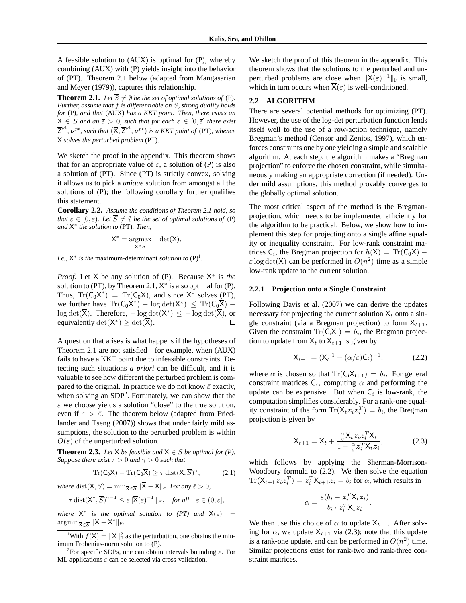A feasible solution to (AUX) is optimal for (P), whereby combining (AUX) with (P) yields insight into the behavior of (PT). Theorem 2.1 below (adapted from Mangasarian and Meyer (1979)), captures this relationship.

**Theorem 2.1.** *Let*  $\overline{S} \neq \emptyset$  *be the set of optimal solutions of* (P). *Further, assume that*  $f$  *is differentiable on*  $\overline{S}$ *, strong duality holds for* (P)*, and that* (AUX) *has a KKT point. Then, there exists an*  $\overline{X} \in \overline{S}$  and an  $\overline{\varepsilon} > 0$ , such that for each  $\varepsilon \in [0, \overline{\varepsilon}]$  there exist  $\overline{Z}^{pt}, \overline{\nu}^{pt}$ , such that  $(\overline{X}, \overline{Z}^{pt}, \overline{\nu}^{pt})$  is a KKT point of (PT), whence X *solves the perturbed problem* (PT)*.*

We sketch the proof in the appendix. This theorem shows that for an appropriate value of  $\varepsilon$ , a solution of (P) is also a solution of (PT). Since (PT) is strictly convex, solving it allows us to pick a *unique* solution from amongst all the solutions of (P); the following corollary further qualifies this statement.

**Corollary 2.2.** *Assume the conditions of Theorem 2.1 hold, so that*  $\varepsilon \in [0, \bar{\varepsilon})$ *. Let*  $\overline{S} \neq \emptyset$  *be the set of optimal solutions of* (P) *and* X ∗ *the solution to* (PT)*. Then,*

$$
X^* = \underset{\overline{X} \in \overline{\mathcal{S}}} {\operatorname{argmax}} \quad \det(\overline{X}),
$$

*i.e.*,  $X^*$  *is the* maximum-determinant *solution to*  $(P)^1$ *.* 

*Proof.* Let  $\overline{X}$  be any solution of (P). Because  $X^*$  is the solution to (PT), by Theorem 2.1,  $X^*$  is also optimal for (P). Thus,  $\text{Tr}(C_0X^*) = \text{Tr}(C_0\overline{X})$ , and since  $X^*$  solves (PT), we further have  $\text{Tr}(\mathsf{C}_0 \mathsf{X}^*) - \log \det(\mathsf{X}^*) \leq \text{Tr}(\mathsf{C}_0 \overline{\mathsf{X}}) \log \det(\overline{X})$ . Therefore,  $-\log \det(X^*) \le -\log \det(\overline{X})$ , or equivalently  $\det(X^*) \geq \det(\overline{X})$ .  $\Box$ 

A question that arises is what happens if the hypotheses of Theorem 2.1 are not satisfied—for example, when (AUX) fails to have a KKT point due to infeasible constraints. Detecting such situations *a priori* can be difficult, and it is valuable to see how different the perturbed problem is compared to the original. In practice we do not know  $\bar{\varepsilon}$  exactly, when solving an  $SDP<sup>2</sup>$ . Fortunately, we can show that the  $\varepsilon$  we choose yields a solution "close" to the true solution, even if  $\varepsilon > \bar{\varepsilon}$ . The theorem below (adapted from Friedlander and Tseng (2007)) shows that under fairly mild assumptions, the solution to the perturbed problem is within  $O(\varepsilon)$  of the unperturbed solution.

**Theorem 2.3.** *Let*  $X$  *be feasible and*  $\overline{X} \in \overline{S}$  *be optimal for (P). Suppose there exist*  $\tau > 0$  *and*  $\gamma > 0$  *such that* 

$$
\operatorname{Tr}(C_0X) - \operatorname{Tr}(C_0\overline{X}) \ge \tau \operatorname{dist}(X, \overline{S})^{\gamma}, \tag{2.1}
$$

*where* dist $(X, \overline{S}) = \min_{\overline{X} \in \overline{S}} \|\overline{X} - X\|_F$ *. For any*  $\overline{\varepsilon} > 0$ *,* 

$$
\tau \operatorname{dist}(\mathsf{X}^*, \overline{S})^{\gamma - 1} \le \varepsilon \|\overline{\mathsf{X}}(\varepsilon)^{-1}\|_F, \quad \text{for all} \quad \varepsilon \in (0, \overline{\varepsilon}],
$$

*where*  $X^*$  *is the optimal solution to (PT) and*  $\overline{X}(\varepsilon)$  =  $\operatorname{argmin}_{\overline{X} \in \overline{S}} \|\overline{X} - X^*\|_F.$ 

We sketch the proof of this theorem in the appendix. This theorem shows that the solutions to the perturbed and unperturbed problems are close when  $\|\overline{\mathsf{X}}(\varepsilon)^{-1}\|_{\text{F}}$  is small, which in turn occurs when  $\overline{X}(\varepsilon)$  is well-conditioned.

#### **2.2 ALGORITHM**

There are several potential methods for optimizing (PT). However, the use of the log-det perturbation function lends itself well to the use of a row-action technique, namely Bregman's method (Censor and Zenios, 1997), which enforces constraints one by one yielding a simple and scalable algorithm. At each step, the algorithm makes a "Bregman projection" to enforce the chosen constraint, while simultaneously making an appropriate correction (if needed). Under mild assumptions, this method provably converges to the globally optimal solution.

The most critical aspect of the method is the Bregmanprojection, which needs to be implemented efficiently for the algorithm to be practical. Below, we show how to implement this step for projecting onto a single affine equality or inequality constraint. For low-rank constraint matrices  $C_i$ , the Bregman projection for  $h(X) = \text{Tr}(C_0 X)$  –  $\varepsilon$  log det(X) can be performed in  $O(n^2)$  time as a simple low-rank update to the current solution.

#### **2.2.1 Projection onto a Single Constraint**

Following Davis et al. (2007) we can derive the updates necessary for projecting the current solution  $X_t$  onto a single constraint (via a Bregman projection) to form  $X_{t+1}$ . Given the constraint  $\text{Tr}(C_iX_t) = b_i$ , the Bregman projection to update from  $X_t$  to  $X_{t+1}$  is given by

$$
X_{t+1} = (X_t^{-1} - (\alpha/\varepsilon)C_i)^{-1},
$$
 (2.2)

where  $\alpha$  is chosen so that  $\text{Tr}(C_iX_{t+1}) = b_i$ . For general constraint matrices  $C_i$ , computing  $\alpha$  and performing the update can be expensive. But when  $C_i$  is low-rank, the computation simplifies considerably. For a rank-one equality constraint of the form  $\text{Tr}(\mathsf{X}_t \mathsf{z}_i \mathsf{z}_i^T) = b_i$ , the Bregman projection is given by

$$
\mathsf{X}_{t+1} = \mathsf{X}_t + \frac{\frac{\alpha}{\varepsilon} \mathsf{X}_t z_i z_i^T \mathsf{X}_t}{1 - \frac{\alpha}{\varepsilon} z_i^T \mathsf{X}_t z_i},\tag{2.3}
$$

which follows by applying the Sherman-Morrison-Woodbury formula to (2.2). We then solve the equation  $\text{Tr}(\mathsf{X}_{t+1} \mathsf{z}_i \mathsf{z}_i^T) = \mathsf{z}_i^T \mathsf{X}_{t+1} \mathsf{z}_i = b_i$  for  $\alpha$ , which results in

$$
\alpha = \frac{\varepsilon(b_i - \boldsymbol{z}_i^T \mathsf{X}_t \boldsymbol{z}_i)}{b_i \cdot \boldsymbol{z}_i^T \mathsf{X}_t \boldsymbol{z}_i}.
$$

We then use this choice of  $\alpha$  to update  $X_{t+1}$ . After solving for  $\alpha$ , we update  $X_{t+1}$  via (2.3); note that this update is a rank-one update, and can be performed in  $O(n^2)$  time. Similar projections exist for rank-two and rank-three constraint matrices.

<sup>&</sup>lt;sup>1</sup>With  $f(X) = ||X||_F^2$  as the perturbation, one obtains the minimum Frobenius-norm solution to (P).

<sup>&</sup>lt;sup>2</sup>For specific SDPs, one can obtain intervals bounding  $\varepsilon$ . For ML applications  $\varepsilon$  can be selected via cross-validation.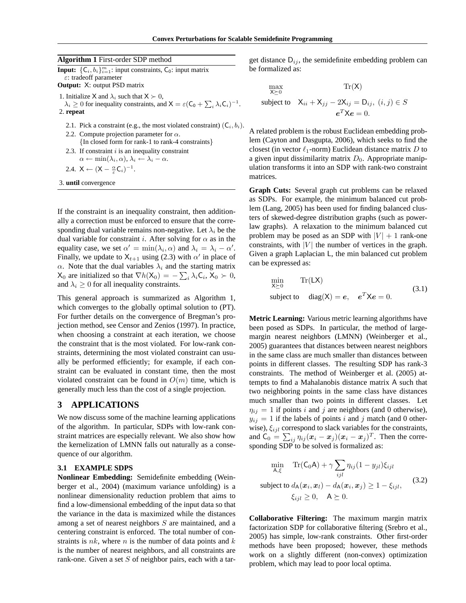#### **Algorithm 1** First-order SDP method

**Input:**  $\{C_i, b_i\}_{i=1}^m$ : input constraints,  $C_0$ : input matrix ε: tradeoff parameter **Output:** X: output PSD matrix

1. Initialize X and  $\lambda_i$  such that  $X \succ 0$ ,

 $\lambda_i \geq 0$  for inequality constraints, and  $X = \varepsilon (C_0 + \sum_i \lambda_i C_i)^{-1}$ . 2. **repeat**

- 2.1. Pick a constraint (e.g., the most violated constraint)  $(C_i, b_i)$ .
- 2.2. Compute projection parameter for  $\alpha$ . {In closed form for rank-1 to rank-4 constraints}
- 2.3. If constraint  $i$  is an inequality constraint  $\alpha \leftarrow \min(\lambda_i, \alpha), \lambda_i \leftarrow \lambda_i - \alpha.$
- 2.4.  $X \leftarrow (X \frac{\alpha}{\varepsilon} C_i)^{-1}$ .

3. **until** convergence

If the constraint is an inequality constraint, then additionally a correction must be enforced to ensure that the corresponding dual variable remains non-negative. Let  $\lambda_i$  be the dual variable for constraint i. After solving for  $\alpha$  as in the equality case, we set  $\alpha' = \min(\lambda_i, \alpha)$  and  $\lambda_i = \lambda_i - \alpha'$ . Finally, we update to  $X_{t+1}$  using (2.3) with  $\alpha'$  in place of  $\alpha$ . Note that the dual variables  $\lambda_i$  and the starting matrix  $X_0$  are initialized so that  $\nabla h(X_0) = -\sum_i \lambda_i C_i$ ,  $X_0 \succ 0$ , and  $\lambda_i \geq 0$  for all inequality constraints.

This general approach is summarized as Algorithm 1, which converges to the globally optimal solution to  $(PT)$ . For further details on the convergence of Bregman's projection method, see Censor and Zenios (1997). In practice, when choosing a constraint at each iteration, we choose the constraint that is the most violated. For low-rank constraints, determining the most violated constraint can usually be performed efficiently; for example, if each constraint can be evaluated in constant time, then the most violated constraint can be found in  $O(m)$  time, which is generally much less than the cost of a single projection.

### **3 APPLICATIONS**

We now discuss some of the machine learning applications of the algorithm. In particular, SDPs with low-rank constraint matrices are especially relevant. We also show how the kernelization of LMNN falls out naturally as a consequence of our algorithm.

#### **3.1 EXAMPLE SDPS**

**Nonlinear Embedding:** Semidefinite embedding (Weinberger et al., 2004) (maximum variance unfolding) is a nonlinear dimensionality reduction problem that aims to find a low-dimensional embedding of the input data so that the variance in the data is maximized while the distances among a set of nearest neighbors S are maintained, and a centering constraint is enforced. The total number of constraints is  $nk$ , where n is the number of data points and  $k$ is the number of nearest neighbors, and all constraints are rank-one. Given a set  $S$  of neighbor pairs, each with a target distance  $D_{ij}$ , the semidefinite embedding problem can be formalized as:

$$
\max_{\mathbf{X} \succeq 0} \text{Tr}(\mathbf{X})
$$
\n
$$
\text{subject to} \quad \mathbf{X}_{ii} + \mathbf{X}_{jj} - 2\mathbf{X}_{ij} = \mathbf{D}_{ij}, \ (i, j) \in S
$$
\n
$$
e^T \mathbf{X} e = 0.
$$

A related problem is the robust Euclidean embedding problem (Cayton and Dasgupta, 2006), which seeks to find the closest (in vector  $\ell_1$ -norm) Euclidean distance matrix D to a given input dissimilarity matrix  $D_0$ . Appropriate manipulation transforms it into an SDP with rank-two constraint matrices.

**Graph Cuts:** Several graph cut problems can be relaxed as SDPs. For example, the minimum balanced cut problem (Lang, 2005) has been used for finding balanced clusters of skewed-degree distribution graphs (such as powerlaw graphs). A relaxation to the minimum balanced cut problem may be posed as an SDP with  $|V| + 1$  rank-one constraints, with  $|V|$  the number of vertices in the graph. Given a graph Laplacian L, the min balanced cut problem can be expressed as:

$$
\min_{X \succeq 0} \text{Tr}(LX) \n\text{subject to } \text{diag}(X) = e, \quad e^T X e = 0.
$$
\n(3.1)

**Metric Learning:** Various metric learning algorithms have been posed as SDPs. In particular, the method of largemargin nearest neighbors (LMNN) (Weinberger et al., 2005) guarantees that distances between nearest neighbors in the same class are much smaller than distances between points in different classes. The resulting SDP has rank-3 constraints. The method of Weinberger et al. (2005) attempts to find a Mahalanobis distance matrix A such that two neighboring points in the same class have distances much smaller than two points in different classes. Let  $\eta_{ij} = 1$  if points i and j are neighbors (and 0 otherwise),  $y_{ij} = 1$  if the labels of points i and j match (and 0 otherwise),  $\xi_{ijl}$  correspond to slack variables for the constraints, and  $C_0 = \sum_{ij} \eta_{ij} (\boldsymbol{x}_i - \boldsymbol{x}_j)(\boldsymbol{x}_i - \boldsymbol{x}_j)^T$ . Then the corresponding SDP to be solved is formalized as:

$$
\min_{\mathsf{A},\xi} \operatorname{Tr}(\mathsf{C}_0\mathsf{A}) + \gamma \sum_{ijl} \eta_{ij} (1 - y_{jl}) \xi_{ijl}
$$
\n
$$
\text{subject to } d_{\mathsf{A}}(\boldsymbol{x}_i, \boldsymbol{x}_l) - d_{\mathsf{A}}(\boldsymbol{x}_i, \boldsymbol{x}_j) \ge 1 - \xi_{ijl},
$$
\n
$$
\xi_{ijl} \ge 0, \quad \mathsf{A} \succeq 0.
$$
\n(3.2)

**Collaborative Filtering:** The maximum margin matrix factorization SDP for collaborative filtering (Srebro et al., 2005) has simple, low-rank constraints. Other first-order methods have been proposed; however, these methods work on a slightly different (non-convex) optimization problem, which may lead to poor local optima.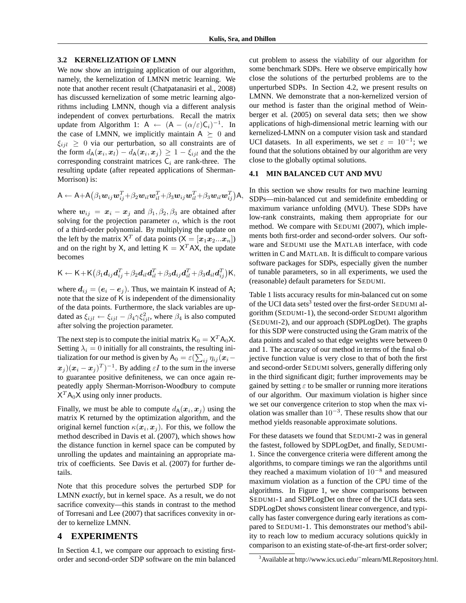#### **3.2 KERNELIZATION OF LMNN**

We now show an intriguing application of our algorithm, namely, the kernelization of LMNN metric learning. We note that another recent result (Chatpatanasiri et al., 2008) has discussed kernelization of some metric learning algorithms including LMNN, though via a different analysis independent of convex perturbations. Recall the matrix update from Algorithm 1: A  $\leftarrow$   $(A - (\alpha/\varepsilon)C_i)^{-1}$ . In the case of LMNN, we implicitly maintain  $A \succeq 0$  and  $\xi_{i}i \geq 0$  via our perturbation, so all constraints are of the form  $d_{A}(\boldsymbol{x}_{i},\boldsymbol{x}_{l}) - d_{A}(\boldsymbol{x}_{i},\boldsymbol{x}_{j}) \geq 1 - \xi_{ijl}$  and the the corresponding constraint matrices  $C_i$  are rank-three. The resulting update (after repeated applications of Sherman-Morrison) is:

$$
\mathsf{A}\leftarrow\mathsf{A}+\mathsf{A}\big(\beta_1\bm{w}_{ij}\bm{w}_{ij}^T\!+\!\beta_2\bm{w}_{il}\bm{w}_{il}^T\!+\!\beta_3\bm{w}_{ij}\bm{w}_{il}^T\!+\!\beta_3\bm{w}_{il}\bm{w}_{ij}^T\big)\mathsf{A},
$$

where  $w_{ij} = x_i - x_j$  and  $\beta_1, \beta_2, \beta_3$  are obtained after solving for the projection parameter  $\alpha$ , which is the root of a third-order polynomial. By multiplying the update on the left by the matrix  $X^T$  of data points  $(X = [\mathbf{x}_1 \mathbf{x}_2 ... \mathbf{x}_n])$ and on the right by X, and letting  $K = X<sup>T</sup> AX$ , the update becomes

$$
\mathsf{K}\leftarrow\mathsf{K}+\mathsf{K}\big(\beta_1\bm{d}_{ij}\bm{d}_{ij}^T+\beta_2\bm{d}_{il}\bm{d}_{il}^T+\beta_3\bm{d}_{ij}\bm{d}_{il}^T+\beta_3\bm{d}_{il}\bm{d}_{ij}^T\big)\mathsf{K},
$$

where  $d_{ij} = (e_i - e_j)$ . Thus, we maintain K instead of A; note that the size of K is independent of the dimensionality of the data points. Furthermore, the slack variables are updated as  $\xi_{ijl} \leftarrow \xi_{ijl} - \beta_4 \gamma \xi_{ijl}^2$ , where  $\beta_4$  is also computed after solving the projection parameter.

The next step is to compute the initial matrix  $K_0 = X^T A_0 X$ . Setting  $\lambda_i = 0$  initially for all constraints, the resulting initialization for our method is given by  $\mathsf{A}_0 = \varepsilon(\sum_{ij} \eta_{ij} (\boldsymbol{x}_i - \boldsymbol{x}_j)$  $(x_j)(x_i - x_j)^T$  + 1. By adding  $\varepsilon I$  to the sum in the inverse to guarantee positive definiteness, we can once again repeatedly apply Sherman-Morrison-Woodbury to compute  $X^T A_0 X$  using only inner products.

Finally, we must be able to compute  $d_{A}(\boldsymbol{x}_{i}, \boldsymbol{x}_{j})$  using the matrix K returned by the optimization algorithm, and the original kernel function  $\kappa(\vec{x}_i, \vec{x}_j)$ . For this, we follow the method described in Davis et al. (2007), which shows how the distance function in kernel space can be computed by unrolling the updates and maintaining an appropriate matrix of coefficients. See Davis et al. (2007) for further details.

Note that this procedure solves the perturbed SDP for LMNN *exactly*, but in kernel space. As a result, we do not sacrifice convexity—this stands in contrast to the method of Torresani and Lee (2007) that sacrifices convexity in order to kernelize LMNN.

### **4 EXPERIMENTS**

In Section 4.1, we compare our approach to existing firstorder and second-order SDP software on the min balanced cut problem to assess the viability of our algorithm for some benchmark SDPs. Here we observe empirically how close the solutions of the perturbed problems are to the unperturbed SDPs. In Section 4.2, we present results on LMNN. We demonstrate that a non-kernelized version of our method is faster than the original method of Weinberger et al. (2005) on several data sets; then we show applications of high-dimensional metric learning with our kernelized-LMNN on a computer vision task and standard UCI datasets. In all experiments, we set  $\varepsilon = 10^{-1}$ ; we found that the solutions obtained by our algorithm are very close to the globally optimal solutions.

#### **4.1 MIN BALANCED CUT AND MVU**

In this section we show results for two machine learning SDPs—min-balanced cut and semidefinite embedding or maximum variance unfolding (MVU). These SDPs have low-rank constraints, making them appropriate for our method. We compare with SEDUMI (2007), which implements both first-order and second-order solvers. Our software and SEDUMI use the MATLAB interface, with code written in C and MATLAB. It is difficult to compare various software packages for SDPs, especially given the number of tunable parameters, so in all experiments, we used the (reasonable) default parameters for SEDUMI.

Table 1 lists accuracy results for min-balanced cut on some of the UCI data sets<sup>3</sup> tested over the first-order SEDUMI algorithm (SEDUMI-1), the second-order SEDUMI algorithm (SEDUMI-2), and our approach (SDPLogDet). The graphs for this SDP were constructed using the Gram matrix of the data points and scaled so that edge weights were between 0 and 1. The accuracy of our method in terms of the final objective function value is very close to that of both the first and second-order SEDUMI solvers, generally differing only in the third significant digit; further improvements may be gained by setting  $\varepsilon$  to be smaller or running more iterations of our algorithm. Our maximum violation is higher since we set our convergence criterion to stop when the max violation was smaller than  $10^{-3}$ . These results show that our method yields reasonable approximate solutions.

For these datasets we found that SEDUMI-2 was in general the fastest, followed by SDPLogDet, and finally, SEDUMI-1. Since the convergence criteria were different among the algorithms, to compare timings we ran the algorithms until they reached a maximum violation of  $10^{-8}$  and measured maximum violation as a function of the CPU time of the algorithms. In Figure 1, we show comparisons between SEDUMI-1 and SDPLogDet on three of the UCI data sets. SDPLogDet shows consistent linear convergence, and typically has faster convergence during early iterations as compared to SEDUMI-1. This demonstrates our method's ability to reach low to medium accuracy solutions quickly in comparison to an existing state-of-the-art first-order solver;

<sup>&</sup>lt;sup>3</sup>Available at http://www.ics.uci.edu/~mlearn/MLRepository.html.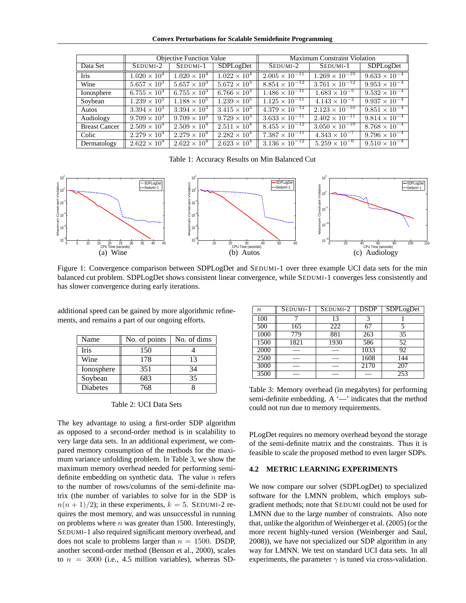**Convex Perturbations for Scalable Semidefinite Programming**

|                      | <b>Objective Function Value</b> |                       | <b>Maximum Constraint Violation</b> |                                                       |                         |                        |
|----------------------|---------------------------------|-----------------------|-------------------------------------|-------------------------------------------------------|-------------------------|------------------------|
| Data Set             | SEDUMI-2                        | SEDUMI-1              | SDPLogDet                           | SEDUMI-2                                              | SEDUMI-1                | SDPLogDet              |
| <b>Iris</b>          | $1.020 \times 10^{4}$           | $1.020 \times 10^{4}$ | $1.022 \times 10^{4}$               | $2.005 \times 10^{-11}$                               | $1.269 \times 10^{-10}$ | $9.633 \times 10^{-4}$ |
| Wine                 | $5.657 \times 10^{3}$           | $5.657 \times 10^{3}$ | $5.672 \times 10^{3}$               | $8.854 \times 10^{-12}$                               | $3.761 \times 10^{-12}$ | $9.953 \times 10^{-4}$ |
| Ionosphere           | $6.755 \times 10^{3}$           | $6.755 \times 10^{3}$ | $6.766 \times 10^{3}$               | $\frac{1.486 \times 10^{-11}}{1.486 \times 10^{-11}}$ | $1.683 \times 10^{-5}$  | $9.532 \times 10^{-4}$ |
| Soybean              | $1.239 \times 10^{5}$           | $1.188 \times 10^{5}$ | $1.239 \times 10^{5}$               | $1.125 \times 10^{-11}$                               | $4.143 \times 10^{-2}$  | $9.937 \times 10^{-4}$ |
| Autos                | $3.394 \times 10^{3}$           | $3.394 \times 10^{3}$ | $3.415 \times 10^{3}$               | $4.\overline{379 \times 10^{-12}}$                    | $2.123 \times 10^{-10}$ | $9.851 \times 10^{-4}$ |
| Audiology            | $9.709 \times 10^{3}$           | $9.709 \times 10^{3}$ | $9.729 \times 10^{3}$               | $3.633 \times 10^{-11}$                               | $2.402 \times 10^{-11}$ | $9.814 \times 10^{-4}$ |
| <b>Breast Cancer</b> | $2.509 \times 10^{4}$           | $2.509 \times 10^{4}$ | $2.511 \times 10^{4}$               | $8.455 \times 10^{-12}$                               | $3.050 \times 10^{-10}$ | $8.768 \times 10^{-4}$ |
| Colic                | $2.279 \times 10^{4}$           | $2.279 \times 10^{4}$ | $2.282 \times 10^{4}$               | $7.387 \times 10^{-11}$                               | $4.343 \times 10^{-7}$  | $9.796 \times 10^{-4}$ |
| Dermatology          | $2.622 \times 10^{4}$           | $2.622 \times 10^{4}$ | $2.623 \times 10^{4}$               | $3.1\overline{36 \times 10^{-12}}$                    | $5.259 \times 10^{-6}$  | $9.510 \times 10^{-4}$ |

Table 1: Accuracy Results on Min Balanced Cut



Figure 1: Convergence comparison between SDPLogDet and SEDUMI-1 over three example UCI data sets for the min balanced cut problem. SDPLogDet shows consistent linear convergence, while SEDUMI-1 converges less consistently and has slower convergence during early iterations.

| ments, and remains a part of our ongoing efforts. |                                                   |  |  |  |  |  |
|---------------------------------------------------|---------------------------------------------------|--|--|--|--|--|
| Name                                              | $\parallel$ No. of points $\parallel$ No. of dims |  |  |  |  |  |

additional speed can be gained by more algorithmic refine-

| Name            | No. of points | No. of dims |
|-----------------|---------------|-------------|
| Iris            | 150           |             |
| Wine            | 178           | 13          |
| Ionosphere      | 351           | 34          |
| Soybean         | 683           | 35          |
| <b>Diabetes</b> | 768           |             |

Table 2: UCI Data Sets

The key advantage to using a first-order SDP algorithm as opposed to a second-order method is in scalability to very large data sets. In an additional experiment, we compared memory consumption of the methods for the maximum variance unfolding problem. In Table 3, we show the maximum memory overhead needed for performing semidefinite embedding on synthetic data. The value  $n$  refers to the number of rows/columns of the semi-definite matrix (the number of variables to solve for in the SDP is  $n(n + 1)/2$ ; in these experiments,  $k = 5$ . SEDUMI-2 requires the most memory, and was unsuccessful in running on problems where  $n$  was greater than 1500. Interestingly, SEDUMI-1 also required significant memory overhead, and does not scale to problems larger than  $n = 1500$ . DSDP, another second-order method (Benson et al., 2000), scales to  $n = 3000$  (i.e., 4.5 million variables), whereas SD-

| $\boldsymbol{n}$ | SEDUMI-1 | SEDUMI-2 | <b>DSDP</b> | SDPLogDet |
|------------------|----------|----------|-------------|-----------|
| 100              |          | 13       | 3           |           |
| 500              | 165      | 222      | 67          | ς         |
| 1000             | 779      | 881      | 263         | 35        |
| 1500             | 1821     | 1930     | 586         | 52        |
| 2000             |          |          | 1033        | 92        |
| 2500             |          |          | 1608        | 144       |
| 3000             |          |          | 2170        | 207       |
| 3500             |          |          |             | 253       |

Table 3: Memory overhead (in megabytes) for performing semi-definite embedding. A '—' indicates that the method could not run due to memory requirements.

PLogDet requires no memory overhead beyond the storage of the semi-definite matrix and the constraints. Thus it is feasible to scale the proposed method to even larger SDPs.

### **4.2 METRIC LEARNING EXPERIMENTS**

We now compare our solver (SDPLogDet) to specialized software for the LMNN problem, which employs subgradient methods; note that SEDUMI could not be used for LMNN due to the large number of constraints. Also note that, unlike the algorithm of Weinberger et al. (2005) (or the more recent highly-tuned version (Weinberger and Saul, 2008)), we have not specialized our SDP algorithm in any way for LMNN. We test on standard UCI data sets. In all experiments, the parameter  $\gamma$  is tuned via cross-validation.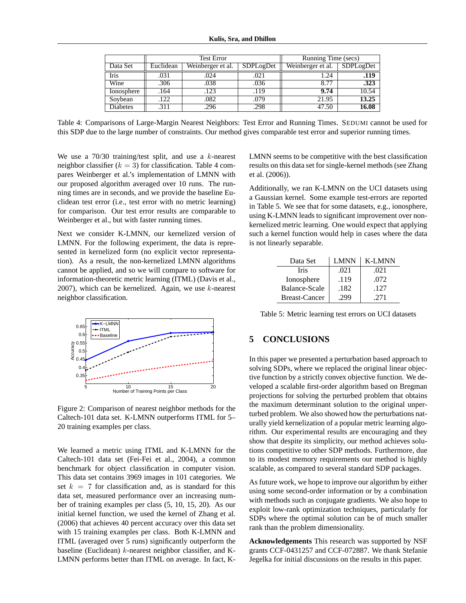|                 | <b>Test Error</b> |                   |           | Running Time (secs) |           |
|-----------------|-------------------|-------------------|-----------|---------------------|-----------|
| Data Set        | Euclidean         | Weinberger et al. | SDPLogDet | Weinberger et al.   | SDPLogDet |
| Iris            | .031              | .024              | .021      | 1.24                | .119      |
| Wine            | .306              | .038              | .036      | 8.77                | .323      |
| Ionosphere      | .164              | .123              | .119      | 9.74                | 10.54     |
| Soybean         | .122              | .082              | .079      | 21.95               | 13.25     |
| <b>Diabetes</b> | .311              | .296              | .298      | 47.50               | 16.08     |

Table 4: Comparisons of Large-Margin Nearest Neighbors: Test Error and Running Times. SEDUMI cannot be used for this SDP due to the large number of constraints. Our method gives comparable test error and superior running times.

We use a  $70/30$  training/test split, and use a k-nearest neighbor classifier  $(k = 3)$  for classification. Table 4 compares Weinberger et al.'s implementation of LMNN with our proposed algorithm averaged over 10 runs. The running times are in seconds, and we provide the baseline Euclidean test error (i.e., test error with no metric learning) for comparison. Our test error results are comparable to Weinberger et al., but with faster running times.

Next we consider K-LMNN, our kernelized version of LMNN. For the following experiment, the data is represented in kernelized form (no explicit vector representation). As a result, the non-kernelized LMNN algorithms cannot be applied, and so we will compare to software for information-theoretic metric learning (ITML) (Davis et al., 2007), which can be kernelized. Again, we use  $k$ -nearest neighbor classification.



Figure 2: Comparison of nearest neighbor methods for the Caltech-101 data set. K-LMNN outperforms ITML for 5– 20 training examples per class.

We learned a metric using ITML and K-LMNN for the Caltech-101 data set (Fei-Fei et al., 2004), a common benchmark for object classification in computer vision. This data set contains 3969 images in 101 categories. We set  $k = 7$  for classification and, as is standard for this data set, measured performance over an increasing number of training examples per class (5, 10, 15, 20). As our initial kernel function, we used the kernel of Zhang et al. (2006) that achieves 40 percent accuracy over this data set with 15 training examples per class. Both K-LMNN and ITML (averaged over 5 runs) significantly outperform the baseline (Euclidean)  $k$ -nearest neighbor classifier, and K-LMNN performs better than ITML on average. In fact, K- LMNN seems to be competitive with the best classification results on this data set for single-kernel methods (see Zhang et al. (2006)).

Additionally, we ran K-LMNN on the UCI datasets using a Gaussian kernel. Some example test-errors are reported in Table 5. We see that for some datasets, e.g., ionosphere, using K-LMNN leads to significant improvement over nonkernelized metric learning. One would expect that applying such a kernel function would help in cases where the data is not linearly separable.

| Data Set             | <b>LMNN</b> | <b>K-LMNN</b> |
|----------------------|-------------|---------------|
| Iris                 | .021        | .021          |
| Ionosphere           | .119        | .072          |
| Balance-Scale        | .182        | .127          |
| <b>Breast-Cancer</b> | 299         | .271          |

Table 5: Metric learning test errors on UCI datasets

## **5 CONCLUSIONS**

In this paper we presented a perturbation based approach to solving SDPs, where we replaced the original linear objective function by a strictly convex objective function. We developed a scalable first-order algorithm based on Bregman projections for solving the perturbed problem that obtains the maximum determinant solution to the original unperturbed problem. We also showed how the perturbations naturally yield kernelization of a popular metric learning algorithm. Our experimental results are encouraging and they show that despite its simplicity, our method achieves solutions competitive to other SDP methods. Furthermore, due to its modest memory requirements our method is highly scalable, as compared to several standard SDP packages.

As future work, we hope to improve our algorithm by either using some second-order information or by a combination with methods such as conjugate gradients. We also hope to exploit low-rank optimization techniques, particularly for SDPs where the optimal solution can be of much smaller rank than the problem dimensionality.

**Acknowledgements** This research was supported by NSF grants CCF-0431257 and CCF-072887. We thank Stefanie Jegelka for initial discussions on the results in this paper.